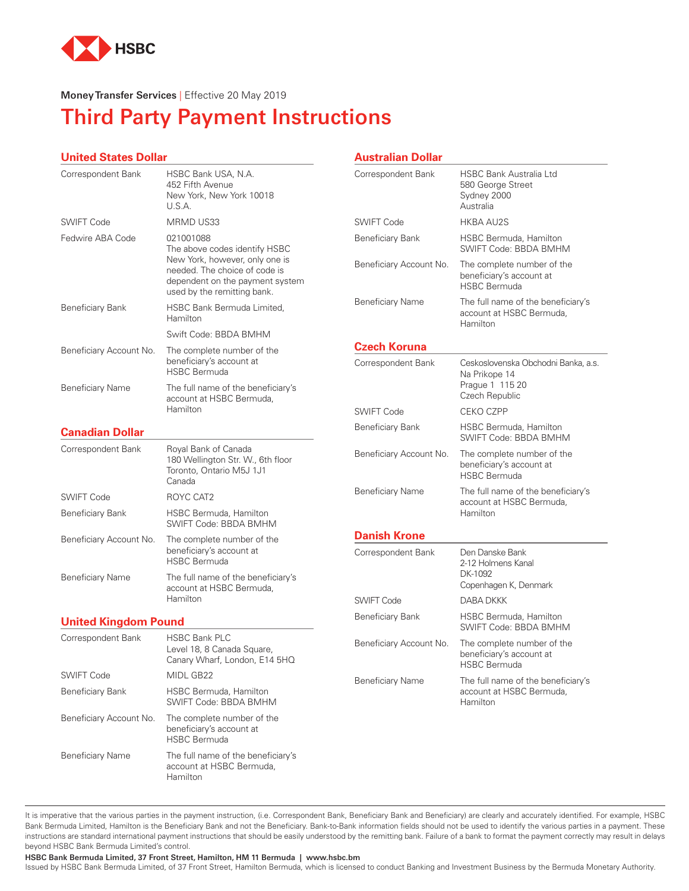

#### **Money Transfer Services** | Effective 20 May 2019

# **Third Party Payment Instructions**

#### **United States Dollar**

| Correspondent Bank          | HSBC Bank USA, N.A.<br>452 Fifth Avenue<br>New York, New York 10018<br>U.S.A.                                 | Correspondent Bank                                 | Н<br>5<br>S<br>А       |
|-----------------------------|---------------------------------------------------------------------------------------------------------------|----------------------------------------------------|------------------------|
| SWIFT Code                  | MRMD US33                                                                                                     | SWIFT Code                                         | Н                      |
| Fedwire ABA Code            | 021001088<br>The above codes identify HSBC<br>New York, however, only one is<br>needed. The choice of code is | <b>Beneficiary Bank</b><br>Beneficiary Account No. | $\mathsf{H}$<br>S<br>T |
|                             | dependent on the payment system<br>used by the remitting bank.                                                |                                                    | b<br>Н                 |
| <b>Beneficiary Bank</b>     | HSBC Bank Bermuda Limited,<br>Hamilton                                                                        | <b>Beneficiary Name</b>                            | T<br>a<br>Н            |
|                             | Swift Code: BBDA BMHM                                                                                         |                                                    |                        |
| Beneficiary Account No.     | The complete number of the<br>beneficiary's account at<br><b>HSBC Bermuda</b>                                 | <b>Czech Koruna</b><br>Correspondent Bank          | C<br>Ν                 |
| <b>Beneficiary Name</b>     | The full name of the beneficiary's<br>account at HSBC Bermuda,                                                |                                                    | P<br>C                 |
|                             | Hamilton                                                                                                      | <b>SWIFT Code</b>                                  | C                      |
| <b>Canadian Dollar</b>      |                                                                                                               | <b>Beneficiary Bank</b>                            | $\mathsf{H}$<br>S      |
| Correspondent Bank          | Royal Bank of Canada<br>180 Wellington Str. W., 6th floor<br>Toronto, Ontario M5J 1J1<br>Canada               | Beneficiary Account No.                            | T<br>b<br>$\mathsf{H}$ |
| <b>SWIFT Code</b>           | ROYC CAT2                                                                                                     | <b>Beneficiary Name</b>                            | T                      |
| <b>Beneficiary Bank</b>     | <b>HSBC Bermuda, Hamilton</b><br>SWIFT Code: BBDA BMHM                                                        |                                                    | a<br>Н                 |
| Beneficiary Account No.     | The complete number of the                                                                                    | <b>Danish Krone</b>                                |                        |
|                             | beneficiary's account at<br><b>HSBC Bermuda</b>                                                               | Correspondent Bank                                 | D<br>$\overline{2}$    |
| <b>Beneficiary Name</b>     | The full name of the beneficiary's<br>account at HSBC Bermuda,                                                |                                                    | D<br>С                 |
|                             | Hamilton                                                                                                      | <b>SWIFT Code</b>                                  | D                      |
| <b>United Kingdom Pound</b> |                                                                                                               | <b>Beneficiary Bank</b>                            | Н<br>S                 |
| Correspondent Bank          | <b>HSBC Bank PLC</b><br>Level 18, 8 Canada Square,<br>Canary Wharf, London, E14 5HQ                           | Beneficiary Account No.                            | T<br>b<br>Н            |
| <b>SWIFT Code</b>           | MIDL GB22                                                                                                     | <b>Beneficiary Name</b>                            | Τ                      |
| <b>Beneficiary Bank</b>     | HSBC Bermuda, Hamilton<br>SWIFT Code: BBDA BMHM                                                               |                                                    | a<br>Н                 |
| Beneficiary Account No.     | The complete number of the<br>beneficiary's account at<br><b>HSBC Bermuda</b>                                 |                                                    |                        |
| <b>Beneficiary Name</b>     | The full name of the beneficiary's<br>account at HSBC Bermuda,<br>Hamilton                                    |                                                    |                        |

#### **Australian Dollar**

| <b>HSBC Bank Australia Ltd</b><br>580 George Street<br>Sydney 2000<br>Australia           |
|-------------------------------------------------------------------------------------------|
| <b>HKBA AU2S</b>                                                                          |
| <b>HSBC Bermuda, Hamilton</b><br>SWIFT Code: BBDA BMHM                                    |
| The complete number of the<br>beneficiary's account at<br><b>HSBC Bermuda</b>             |
| The full name of the beneficiary's<br>account at HSBC Bermuda,<br>Hamilton                |
|                                                                                           |
| Ceskoslovenska Obchodni Banka, a.s.<br>Na Prikope 14<br>Prague 1 115 20<br>Czech Republic |
| <b>CEKO CZPP</b>                                                                          |
| HSBC Bermuda, Hamilton<br>SWIFT Code: BBDA BMHM                                           |
| The complete number of the<br>beneficiary's account at<br><b>HSBC Bermuda</b>             |
| The full name of the beneficiary's<br>account at HSBC Bermuda,<br>Hamilton                |
|                                                                                           |
| Den Danske Bank<br>2-12 Holmens Kanal<br>DK-1092<br>Copenhagen K, Denmark                 |
| DABA DKKK                                                                                 |
| <b>HSBC Bermuda, Hamilton</b><br><b>SWIFT Code: BBDA BMHM</b>                             |
| The complete number of the<br>beneficiary's account at<br><b>HSBC Bermuda</b>             |
| The full name of the beneficiary's<br>account at HSBC Bermuda,                            |
|                                                                                           |

It is imperative that the various parties in the payment instruction, (i.e. Correspondent Bank, Beneficiary Bank and Beneficiary) are clearly and accurately identified. For example, HSBC Bank Bermuda Limited, Hamilton is the Beneficiary Bank and not the Beneficiary. Bank-to-Bank information fields should not be used to identify the various parties in a payment. These instructions are standard international payment instructions that should be easily understood by the remitting bank. Failure of a bank to format the payment correctly may result in delays beyond HSBC Bank Bermuda Limited's control.

**HSBC Bank Bermuda Limited, 37 Front Street, Hamilton, HM 11 Bermuda | www.hsbc.bm** 

Issued by HSBC Bank Bermuda Limited, of 37 Front Street, Hamilton Bermuda, which is licensed to conduct Banking and Investment Business by the Bermuda Monetary Authority.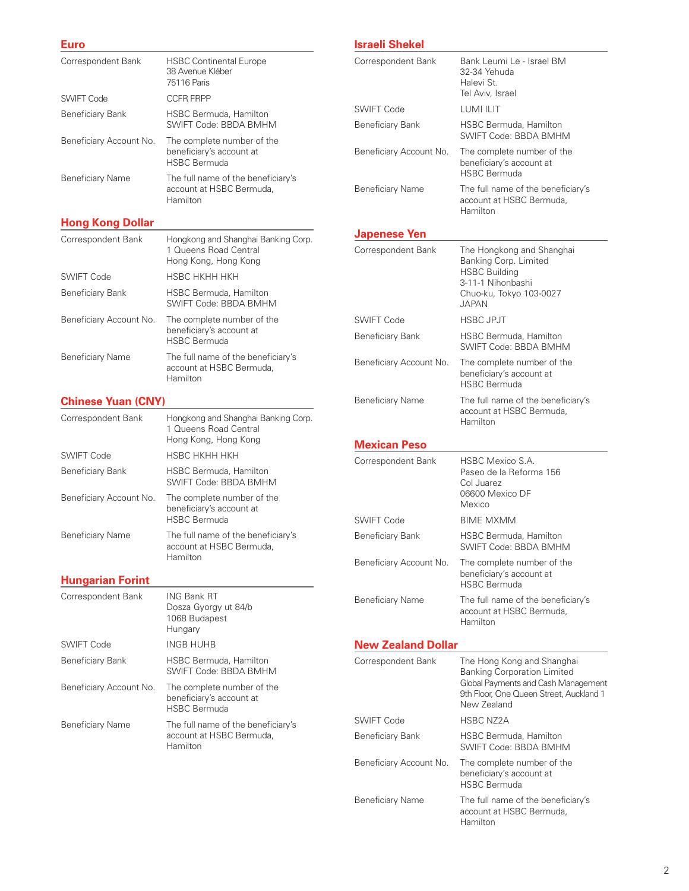#### **Euro**

| Correspondent Bank      | <b>HSBC Continental Europe</b><br>38 Avenue Kléber<br>75116 Paris             |
|-------------------------|-------------------------------------------------------------------------------|
| SWIFT Code              | <b>CCER ERPP</b>                                                              |
| Beneficiary Bank        | HSBC Bermuda, Hamilton<br>SWIFT Code: BBDA BMHM                               |
| Beneficiary Account No. | The complete number of the<br>beneficiary's account at<br><b>HSBC Bermuda</b> |
| <b>Beneficiary Name</b> | The full name of the beneficiary's<br>account at HSBC Bermuda,<br>Hamilton    |

**Hong Kong Dollar**

| Correspondent Bank      | Hongkong and Shanghai Banking Corp.<br>1 Queens Road Central<br>Hong Kong, Hong Kong |
|-------------------------|--------------------------------------------------------------------------------------|
| SWIFT Code              | HSBC HKHH HKH                                                                        |
| <b>Beneficiary Bank</b> | HSBC Bermuda, Hamilton<br><b>SWIFT Code: BBDA BMHM</b>                               |
| Beneficiary Account No. | The complete number of the<br>beneficiary's account at<br><b>HSBC Bermuda</b>        |
| Beneficiary Name        | The full name of the beneficiary's<br>account at HSBC Bermuda,<br>Hamilton           |

# **Chinese Yuan (CNY)**

| Correspondent Bank      | Hongkong and Shanghai Banking Corp.<br>1 Queens Road Central<br>Hong Kong, Hong Kong |
|-------------------------|--------------------------------------------------------------------------------------|
| SWIFT Code              | HSBC HKHH HKH                                                                        |
| Beneficiary Bank        | <b>HSBC Bermuda, Hamilton</b><br><b>SWIFT Code: BBDA BMHM</b>                        |
| Beneficiary Account No. | The complete number of the<br>beneficiary's account at<br><b>HSBC Bermuda</b>        |
| <b>Beneficiary Name</b> | The full name of the beneficiary's<br>account at HSBC Bermuda.<br>Hamilton           |

## **Hungarian Forint**

| Correspondent Bank      | ING Bank RT<br>Dosza Gyorgy ut 84/b<br>1068 Budapest<br>Hungary               |
|-------------------------|-------------------------------------------------------------------------------|
| SWIFT Code              | INGB HUHB                                                                     |
| Beneficiary Bank        | <b>HSBC Bermuda, Hamilton</b><br>SWIFT Code: BBDA BMHM                        |
| Beneficiary Account No. | The complete number of the<br>beneficiary's account at<br><b>HSBC Bermuda</b> |
| <b>Beneficiary Name</b> | The full name of the beneficiary's<br>account at HSBC Bermuda,<br>Hamilton    |

# **Israeli Shekel**

| Correspondent Bank        | Bank Leumi Le - Israel BM<br>32-34 Yehuda<br>Halevi St.<br>Tel Aviv, Israel                                                                                       |
|---------------------------|-------------------------------------------------------------------------------------------------------------------------------------------------------------------|
| <b>SWIFT Code</b>         | LUMI ILIT                                                                                                                                                         |
| <b>Beneficiary Bank</b>   | HSBC Bermuda, Hamilton<br>SWIFT Code: BBDA BMHM                                                                                                                   |
| Beneficiary Account No.   | The complete number of the<br>beneficiary's account at<br><b>HSBC Bermuda</b>                                                                                     |
| <b>Beneficiary Name</b>   | The full name of the beneficiary's<br>account at HSBC Bermuda,<br>Hamilton                                                                                        |
| Japenese Yen              |                                                                                                                                                                   |
| Correspondent Bank        | The Hongkong and Shanghai<br>Banking Corp. Limited<br><b>HSBC Building</b><br>3-11-1 Nihonbashi<br>Chuo-ku, Tokyo 103-0027<br><b>JAPAN</b>                        |
| <b>SWIFT Code</b>         | <b>HSBC JPJT</b>                                                                                                                                                  |
| Beneficiary Bank          | <b>HSBC Bermuda, Hamilton</b><br>SWIFT Code: BBDA BMHM                                                                                                            |
| Beneficiary Account No.   | The complete number of the<br>beneficiary's account at<br><b>HSBC Bermuda</b>                                                                                     |
| Beneficiary Name          | The full name of the beneficiary's<br>account at HSBC Bermuda,<br>Hamilton                                                                                        |
| <b>Mexican Peso</b>       |                                                                                                                                                                   |
| Correspondent Bank        | <b>HSBC Mexico S.A.</b><br>Paseo de la Reforma 156<br>Col Juarez<br>06600 Mexico DF<br>Mexico                                                                     |
| <b>SWIFT Code</b>         | <b>BIME MXMM</b>                                                                                                                                                  |
| Beneficiary Bank          | HSBC Bermuda, Hamilton<br>SWIFT Code: BBDA BMHM                                                                                                                   |
| Beneficiary Account No.   | The complete number of the<br>beneficiary's account at<br><b>HSBC Bermuda</b>                                                                                     |
| <b>Beneficiary Name</b>   | The full name of the beneficiary's<br>account at HSBC Bermuda,<br>Hamilton                                                                                        |
| <b>New Zealand Dollar</b> |                                                                                                                                                                   |
| Correspondent Bank        | The Hong Kong and Shanghai<br><b>Banking Corporation Limited</b><br>Global Payments and Cash Management<br>9th Floor, One Queen Street, Auckland 1<br>New Zealand |
| <b>SWIFT Code</b>         | <b>HSBC NZ2A</b>                                                                                                                                                  |
| Beneficiary Bank          | HSBC Bermuda, Hamilton<br>SWIFT Code: BBDA BMHM                                                                                                                   |
| Beneficiary Account No.   | The complete number of the<br>beneficiary's account at<br><b>HSBC Bermuda</b>                                                                                     |
| Beneficiary Name          | The full name of the beneficiary's<br>account at HSBC Bermuda,<br>Hamilton                                                                                        |